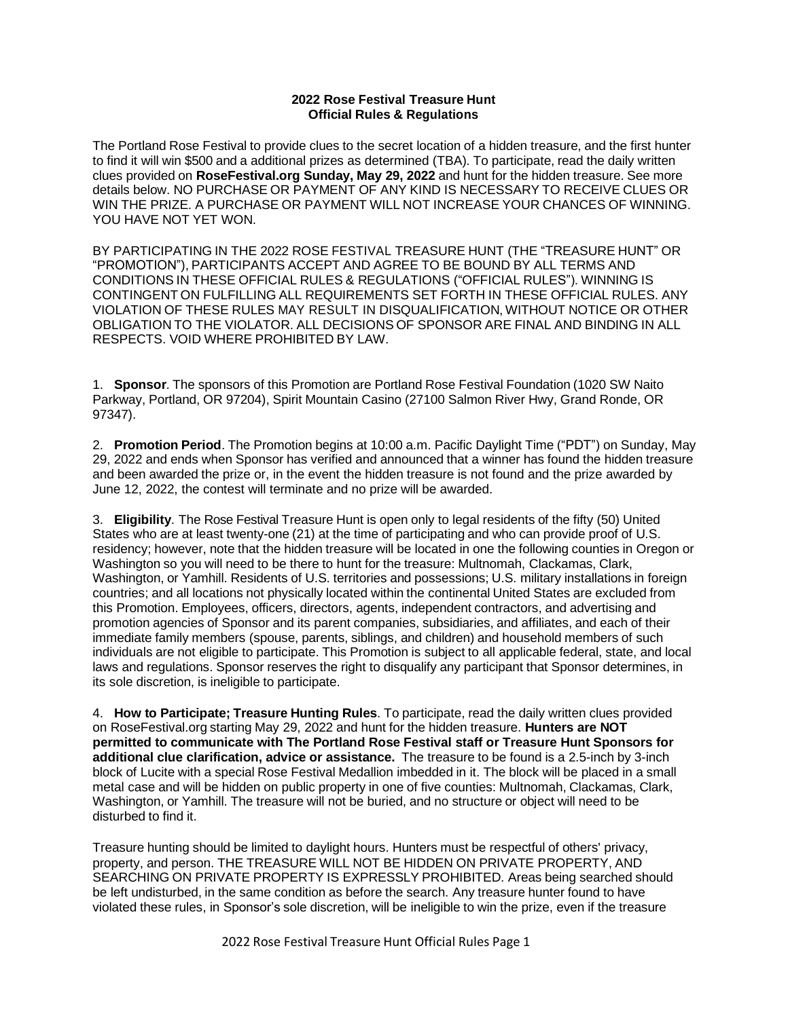## **2022 Rose Festival Treasure Hunt Official Rules & Regulations**

The Portland Rose Festival to provide clues to the secret location of a hidden treasure, and the first hunter to find it will win \$500 and a additional prizes as determined (TBA). To participate, read the daily written clues provided on **RoseFestival.org Sunday, May 29, 2022** and hunt for the hidden treasure. See more details below. NO PURCHASE OR PAYMENT OF ANY KIND IS NECESSARY TO RECEIVE CLUES OR WIN THE PRIZE. A PURCHASE OR PAYMENT WILL NOT INCREASE YOUR CHANCES OF WINNING. YOU HAVE NOT YET WON.

BY PARTICIPATING IN THE 2022 ROSE FESTIVAL TREASURE HUNT (THE "TREASURE HUNT" OR "PROMOTION"), PARTICIPANTS ACCEPT AND AGREE TO BE BOUND BY ALL TERMS AND CONDITIONS IN THESE OFFICIAL RULES & REGULATIONS ("OFFICIAL RULES"). WINNING IS CONTINGENT ON FULFILLING ALL REQUIREMENTS SET FORTH IN THESE OFFICIAL RULES. ANY VIOLATION OF THESE RULES MAY RESULT IN DISQUALIFICATION, WITHOUT NOTICE OR OTHER OBLIGATION TO THE VIOLATOR. ALL DECISIONS OF SPONSOR ARE FINAL AND BINDING IN ALL RESPECTS. VOID WHERE PROHIBITED BY LAW.

1. **Sponsor**. The sponsors of this Promotion are Portland Rose Festival Foundation (1020 SW Naito Parkway, Portland, OR 97204), Spirit Mountain Casino (27100 Salmon River Hwy, Grand Ronde, OR 97347).

2. **Promotion Period**. The Promotion begins at 10:00 a.m. Pacific Daylight Time ("PDT") on Sunday, May 29, 2022 and ends when Sponsor has verified and announced that a winner has found the hidden treasure and been awarded the prize or, in the event the hidden treasure is not found and the prize awarded by June 12, 2022, the contest will terminate and no prize will be awarded.

3. **Eligibility**. The Rose Festival Treasure Hunt is open only to legal residents of the fifty (50) United States who are at least twenty-one (21) at the time of participating and who can provide proof of U.S. residency; however, note that the hidden treasure will be located in one the following counties in Oregon or Washington so you will need to be there to hunt for the treasure: Multnomah, Clackamas, Clark, Washington, or Yamhill. Residents of U.S. territories and possessions; U.S. military installations in foreign countries; and all locations not physically located within the continental United States are excluded from this Promotion. Employees, officers, directors, agents, independent contractors, and advertising and promotion agencies of Sponsor and its parent companies, subsidiaries, and affiliates, and each of their immediate family members (spouse, parents, siblings, and children) and household members of such individuals are not eligible to participate. This Promotion is subject to all applicable federal, state, and local laws and regulations. Sponsor reserves the right to disqualify any participant that Sponsor determines, in its sole discretion, is ineligible to participate.

4. **How to Participate; Treasure Hunting Rules**. To participate, read the daily written clues provided on RoseFestival.org starting May 29, 2022 and hunt for the hidden treasure. **Hunters are NOT permitted to communicate with The Portland Rose Festival staff or Treasure Hunt Sponsors for additional clue clarification, advice or assistance.** The treasure to be found is a 2.5-inch by 3-inch block of Lucite with a special Rose Festival Medallion imbedded in it. The block will be placed in a small metal case and will be hidden on public property in one of five counties: Multnomah, Clackamas, Clark, Washington, or Yamhill. The treasure will not be buried, and no structure or object will need to be disturbed to find it.

Treasure hunting should be limited to daylight hours. Hunters must be respectful of others' privacy, property, and person. THE TREASURE WILL NOT BE HIDDEN ON PRIVATE PROPERTY. AND SEARCHING ON PRIVATE PROPERTY IS EXPRESSLY PROHIBITED. Areas being searched should be left undisturbed, in the same condition as before the search. Any treasure hunter found to have violated these rules, in Sponsor's sole discretion, will be ineligible to win the prize, even if the treasure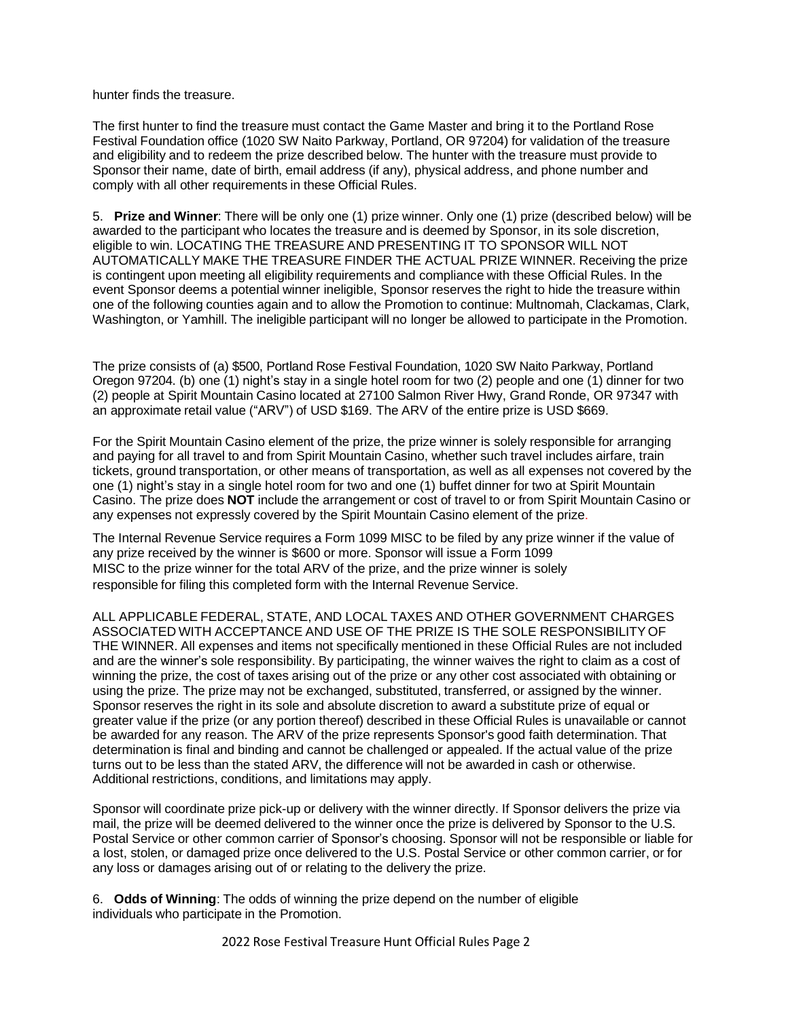hunter finds the treasure.

The first hunter to find the treasure must contact the Game Master and bring it to the Portland Rose Festival Foundation office (1020 SW Naito Parkway, Portland, OR 97204) for validation of the treasure and eligibility and to redeem the prize described below. The hunter with the treasure must provide to Sponsor their name, date of birth, email address (if any), physical address, and phone number and comply with all other requirements in these Official Rules.

5. **Prize and Winner**: There will be only one (1) prize winner. Only one (1) prize (described below) will be awarded to the participant who locates the treasure and is deemed by Sponsor, in its sole discretion, eligible to win. LOCATING THE TREASURE AND PRESENTING IT TO SPONSOR WILL NOT AUTOMATICALLY MAKE THE TREASURE FINDER THE ACTUAL PRIZE WINNER. Receiving the prize is contingent upon meeting all eligibility requirements and compliance with these Official Rules. In the event Sponsor deems a potential winner ineligible, Sponsor reserves the right to hide the treasure within one of the following counties again and to allow the Promotion to continue: Multnomah, Clackamas, Clark, Washington, or Yamhill. The ineligible participant will no longer be allowed to participate in the Promotion.

The prize consists of (a) \$500, Portland Rose Festival Foundation, 1020 SW Naito Parkway, Portland Oregon 97204. (b) one (1) night's stay in a single hotel room for two (2) people and one (1) dinner for two (2) people at Spirit Mountain Casino located at 27100 Salmon River Hwy, Grand Ronde, OR 97347 with an approximate retail value ("ARV") of USD \$169. The ARV of the entire prize is USD \$669.

For the Spirit Mountain Casino element of the prize, the prize winner is solely responsible for arranging and paying for all travel to and from Spirit Mountain Casino, whether such travel includes airfare, train tickets, ground transportation, or other means of transportation, as well as all expenses not covered by the one (1) night's stay in a single hotel room for two and one (1) buffet dinner for two at Spirit Mountain Casino. The prize does **NOT** include the arrangement or cost of travel to or from Spirit Mountain Casino or any expenses not expressly covered by the Spirit Mountain Casino element of the prize.

The Internal Revenue Service requires a Form 1099 MISC to be filed by any prize winner if the value of any prize received by the winner is \$600 or more. Sponsor will issue a Form 1099 MISC to the prize winner for the total ARV of the prize, and the prize winner is solely responsible for filing this completed form with the Internal Revenue Service.

ALL APPLICABLE FEDERAL, STATE, AND LOCAL TAXES AND OTHER GOVERNMENT CHARGES ASSOCIATED WITH ACCEPTANCE AND USE OF THE PRIZE IS THE SOLE RESPONSIBILITY OF THE WINNER. All expenses and items not specifically mentioned in these Official Rules are not included and are the winner's sole responsibility. By participating, the winner waives the right to claim as a cost of winning the prize, the cost of taxes arising out of the prize or any other cost associated with obtaining or using the prize. The prize may not be exchanged, substituted, transferred, or assigned by the winner. Sponsor reserves the right in its sole and absolute discretion to award a substitute prize of equal or greater value if the prize (or any portion thereof) described in these Official Rules is unavailable or cannot be awarded for any reason. The ARV of the prize represents Sponsor's good faith determination. That determination is final and binding and cannot be challenged or appealed. If the actual value of the prize turns out to be less than the stated ARV, the difference will not be awarded in cash or otherwise. Additional restrictions, conditions, and limitations may apply.

Sponsor will coordinate prize pick-up or delivery with the winner directly. If Sponsor delivers the prize via mail, the prize will be deemed delivered to the winner once the prize is delivered by Sponsor to the U.S. Postal Service or other common carrier of Sponsor's choosing. Sponsor will not be responsible or liable for a lost, stolen, or damaged prize once delivered to the U.S. Postal Service or other common carrier, or for any loss or damages arising out of or relating to the delivery the prize.

6. **Odds of Winning**: The odds of winning the prize depend on the number of eligible individuals who participate in the Promotion.

2022 Rose Festival Treasure Hunt Official Rules Page 2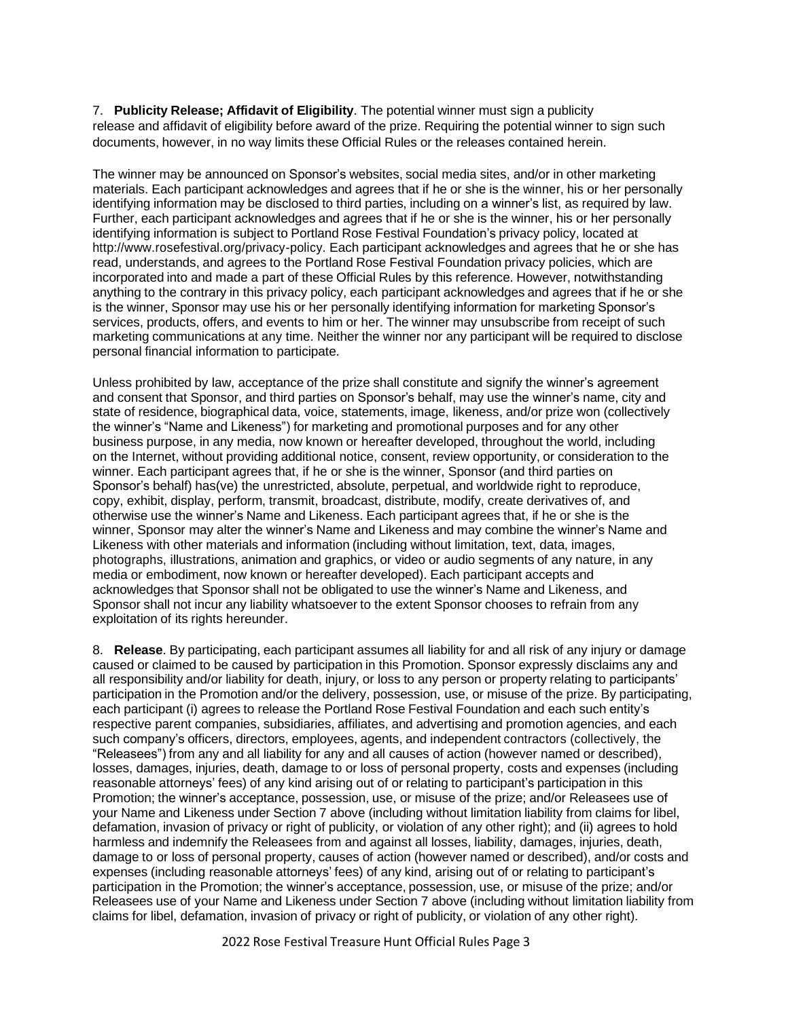7. **Publicity Release; Affidavit of Eligibility**. The potential winner must sign a publicity release and affidavit of eligibility before award of the prize. Requiring the potential winner to sign such documents, however, in no way limits these Official Rules or the releases contained herein.

The winner may be announced on Sponsor's websites, social media sites, and/or in other marketing materials. Each participant acknowledges and agrees that if he or she is the winner, his or her personally identifying information may be disclosed to third parties, including on a winner's list, as required by law. Further, each participant acknowledges and agrees that if he or she is the winner, his or her personally identifying information is subject to Portland Rose Festival Foundation's privacy policy, located [at](http://www.rosefestival.org/privacy-policy) [http://www.rosefestival.org/privacy-policy.](http://www.rosefestival.org/privacy-policy) Each participant acknowledges and agrees that he or she has read, understands, and agrees to the Portland Rose Festival Foundation privacy policies, which are incorporated into and made a part of these Official Rules by this reference. However, notwithstanding anything to the contrary in this privacy policy, each participant acknowledges and agrees that if he or she is the winner, Sponsor may use his or her personally identifying information for marketing Sponsor's services, products, offers, and events to him or her. The winner may unsubscribe from receipt of such marketing communications at any time. Neither the winner nor any participant will be required to disclose personal financial information to participate.

Unless prohibited by law, acceptance of the prize shall constitute and signify the winner's agreement and consent that Sponsor, and third parties on Sponsor's behalf, may use the winner's name, city and state of residence, biographical data, voice, statements, image, likeness, and/or prize won (collectively the winner's "Name and Likeness") for marketing and promotional purposes and for any other business purpose, in any media, now known or hereafter developed, throughout the world, including on the Internet, without providing additional notice, consent, review opportunity, or consideration to the winner. Each participant agrees that, if he or she is the winner, Sponsor (and third parties on Sponsor's behalf) has(ve) the unrestricted, absolute, perpetual, and worldwide right to reproduce, copy, exhibit, display, perform, transmit, broadcast, distribute, modify, create derivatives of, and otherwise use the winner's Name and Likeness. Each participant agrees that, if he or she is the winner, Sponsor may alter the winner's Name and Likeness and may combine the winner's Name and Likeness with other materials and information (including without limitation, text, data, images, photographs, illustrations, animation and graphics, or video or audio segments of any nature, in any media or embodiment, now known or hereafter developed). Each participant accepts and acknowledges that Sponsor shall not be obligated to use the winner's Name and Likeness, and Sponsor shall not incur any liability whatsoever to the extent Sponsor chooses to refrain from any exploitation of its rights hereunder.

8. **Release**. By participating, each participant assumes all liability for and all risk of any injury or damage caused or claimed to be caused by participation in this Promotion. Sponsor expressly disclaims any and all responsibility and/or liability for death, injury, or loss to any person or property relating to participants' participation in the Promotion and/or the delivery, possession, use, or misuse of the prize. By participating, each participant (i) agrees to release the Portland Rose Festival Foundation and each such entity's respective parent companies, subsidiaries, affiliates, and advertising and promotion agencies, and each such company's officers, directors, employees, agents, and independent contractors (collectively, the "Releasees") from any and all liability for any and all causes of action (however named or described), losses, damages, injuries, death, damage to or loss of personal property, costs and expenses (including reasonable attorneys' fees) of any kind arising out of or relating to participant's participation in this Promotion; the winner's acceptance, possession, use, or misuse of the prize; and/or Releasees use of your Name and Likeness under Section 7 above (including without limitation liability from claims for libel, defamation, invasion of privacy or right of publicity, or violation of any other right); and (ii) agrees to hold harmless and indemnify the Releasees from and against all losses, liability, damages, injuries, death, damage to or loss of personal property, causes of action (however named or described), and/or costs and expenses (including reasonable attorneys' fees) of any kind, arising out of or relating to participant's participation in the Promotion; the winner's acceptance, possession, use, or misuse of the prize; and/or Releasees use of your Name and Likeness under Section 7 above (including without limitation liability from claims for libel, defamation, invasion of privacy or right of publicity, or violation of any other right).

2022 Rose Festival Treasure Hunt Official Rules Page 3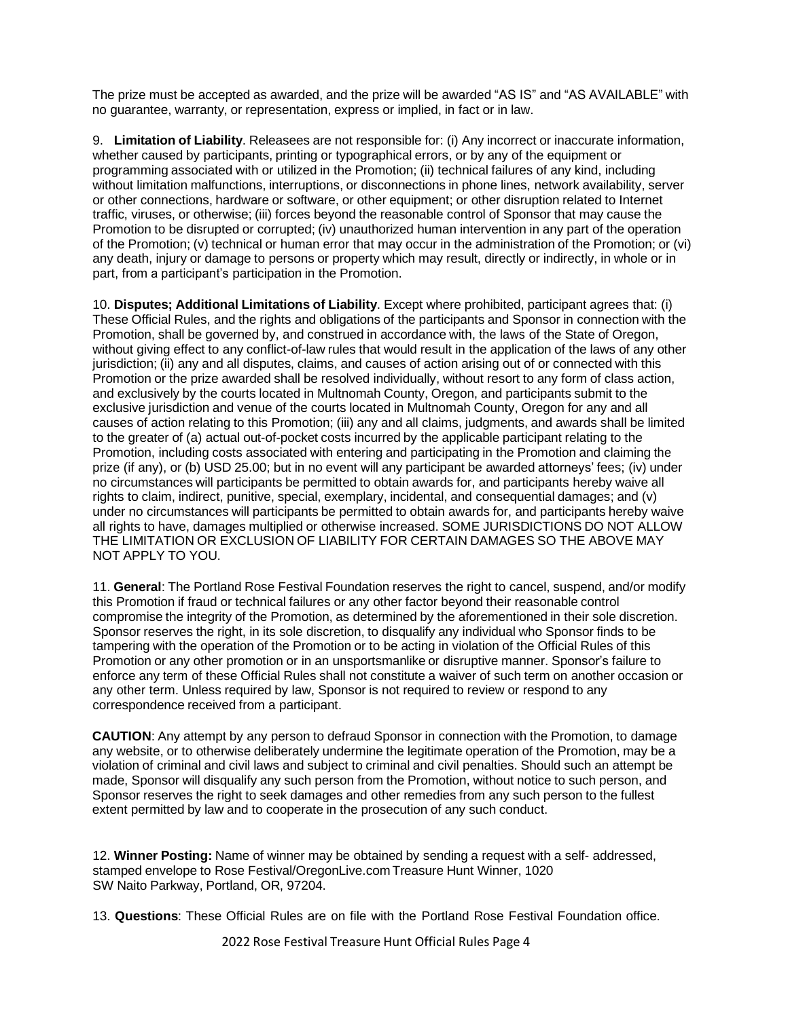The prize must be accepted as awarded, and the prize will be awarded "AS IS" and "AS AVAILABLE" with no guarantee, warranty, or representation, express or implied, in fact or in law.

9. **Limitation of Liability**. Releasees are not responsible for: (i) Any incorrect or inaccurate information, whether caused by participants, printing or typographical errors, or by any of the equipment or programming associated with or utilized in the Promotion; (ii) technical failures of any kind, including without limitation malfunctions, interruptions, or disconnections in phone lines, network availability, server or other connections, hardware or software, or other equipment; or other disruption related to Internet traffic, viruses, or otherwise; (iii) forces beyond the reasonable control of Sponsor that may cause the Promotion to be disrupted or corrupted; (iv) unauthorized human intervention in any part of the operation of the Promotion; (v) technical or human error that may occur in the administration of the Promotion; or (vi) any death, injury or damage to persons or property which may result, directly or indirectly, in whole or in part, from a participant's participation in the Promotion.

10. **Disputes; Additional Limitations of Liability**. Except where prohibited, participant agrees that: (i) These Official Rules, and the rights and obligations of the participants and Sponsor in connection with the Promotion, shall be governed by, and construed in accordance with, the laws of the State of Oregon, without giving effect to any conflict-of-law rules that would result in the application of the laws of any other jurisdiction; (ii) any and all disputes, claims, and causes of action arising out of or connected with this Promotion or the prize awarded shall be resolved individually, without resort to any form of class action, and exclusively by the courts located in Multnomah County, Oregon, and participants submit to the exclusive jurisdiction and venue of the courts located in Multnomah County, Oregon for any and all causes of action relating to this Promotion; (iii) any and all claims, judgments, and awards shall be limited to the greater of (a) actual out-of-pocket costs incurred by the applicable participant relating to the Promotion, including costs associated with entering and participating in the Promotion and claiming the prize (if any), or (b) USD 25.00; but in no event will any participant be awarded attorneys' fees; (iv) under no circumstances will participants be permitted to obtain awards for, and participants hereby waive all rights to claim, indirect, punitive, special, exemplary, incidental, and consequential damages; and (v) under no circumstances will participants be permitted to obtain awards for, and participants hereby waive all rights to have, damages multiplied or otherwise increased. SOME JURISDICTIONS DO NOT ALLOW THE LIMITATION OR EXCLUSION OF LIABILITY FOR CERTAIN DAMAGES SO THE ABOVE MAY NOT APPLY TO YOU.

11. **General**: The Portland Rose Festival Foundation reserves the right to cancel, suspend, and/or modify this Promotion if fraud or technical failures or any other factor beyond their reasonable control compromise the integrity of the Promotion, as determined by the aforementioned in their sole discretion. Sponsor reserves the right, in its sole discretion, to disqualify any individual who Sponsor finds to be tampering with the operation of the Promotion or to be acting in violation of the Official Rules of this Promotion or any other promotion or in an unsportsmanlike or disruptive manner. Sponsor's failure to enforce any term of these Official Rules shall not constitute a waiver of such term on another occasion or any other term. Unless required by law, Sponsor is not required to review or respond to any correspondence received from a participant.

**CAUTION**: Any attempt by any person to defraud Sponsor in connection with the Promotion, to damage any website, or to otherwise deliberately undermine the legitimate operation of the Promotion, may be a violation of criminal and civil laws and subject to criminal and civil penalties. Should such an attempt be made, Sponsor will disqualify any such person from the Promotion, without notice to such person, and Sponsor reserves the right to seek damages and other remedies from any such person to the fullest extent permitted by law and to cooperate in the prosecution of any such conduct.

12. **Winner Posting:** Name of winner may be obtained by sending a request with a self- addressed, stamped envelope to Rose Festival/OregonLive.com Treasure Hunt Winner, 1020 SW Naito Parkway, Portland, OR, 97204.

13. **Questions**: These Official Rules are on file with the Portland Rose Festival Foundation office.

2022 Rose Festival Treasure Hunt Official Rules Page 4